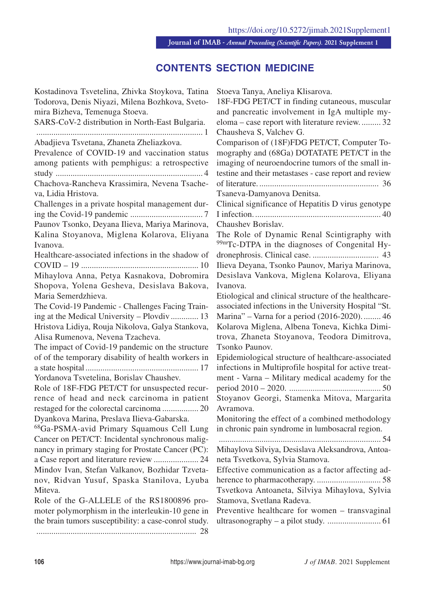**Journal of IMAB** *- Annual Proceeding (Scientific Papers).* **2021 Supplement 1**

## **CONTENTS SECTION MEDICINE**

Kostadinova Tsvetelina, Zhivka Stoykova, Tatina Todorova, Denis Niyazi, Milena Bozhkova, Svetomira Bizheva, Temenuga Stoeva. SARS-CoV-2 distribution in North-East Bulgaria. .............................................................................. 1 Abadjieva Tsvetana, Zhaneta Zheliazkova. Prevalence of COVID-19 and vaccination status among patients with pemphigus: a retrospective study ..................................................................... 4 Chachova-Rancheva Krassimira, Nevena Tsacheva, Lidia Hristova. Challenges in a private hospital management during the Covid-19 pandemic .................................. 7 Paunov Tsonko, Deyana Ilieva, Mariya Marinova, Kalina Stoyanova, Miglena Kolarova, Eliyana Ivanova. Healthcare-associated infections in the shadow of COVID – 19 ....................................................... 10 Mihaylova Anna, Petya Kasnakova, Dobromira Shopova, Yolena Gesheva, Desislava Bakova, Maria Semerdzhieva. The Covid-19 Pandemic - Challenges Facing Training at the Medical University – Plovdiv ............. 13 Hristova Lidiya, Rouja Nikolova, Galya Stankova, Alisa Rumenova, Nevena Tzacheva. The impact of Covid-19 pandemic on the structure of of the temporary disability of health workers in a state hospital..................................................... 17 Yordanova Tsvetelina, Borislav Chaushev. Role of 18F-FDG PET/CT for unsuspected recurrence of head and neck carcinoma in patient restaged for the colorectal carcinoma ................. 20 Dyankova Marina, Preslava Ilieva-Gabarska. 68Ga-PSMA-avid Primary Squamous Cell Lung Cancer on PET/CT: Incidental synchronous malignancy in primary staging for Prostate Cancer (PC): a Case report and literature review ..................... 24 Mindov Ivan, Stefan Valkanov, Bozhidar Tzvetanov, Ridvan Yusuf, Spaska Stanilova, Lyuba Miteva. Role of the G-ALLELE of the RS1800896 promoter polymorphism in the interleukin-10 gene in

Stoeva Tanya, Aneliya Klisarova.

18F-FDG PET/CT in finding cutaneous, muscular and pancreatic involvement in IgA multiple myeloma – case report with literature review. ......... 32 Chausheva S, Valchev G.

Comparison of (18F)FDG PET/CT, Computer Tomography and (68Ga) DOTATATE PET/CT in the imaging of neuroendocrine tumors of the small intestine and their metastases - case report and review of literature. ........................................................ 36 Tsaneva-Damyanova Denitsa.

Clinical significance of Hepatitis D virus genotype I infection. ........................................................... 40

Chaushev Borislav.

The Role of Dynamic Renal Scintigraphy with 99mTc-DTPA in the diagnoses of Congenital Hydronephrosis. Clinical case. ............................... 43 Ilieva Deyana, Tsonko Paunov, Mariya Marinova, Desislava Vankova, Miglena Kolarova, Eliyana Ivanova.

Etiological and clinical structure of the healthcareassociated infections in the University Hospital "St. Marina" – Varna for a period (2016-2020). ........ 46 Kolarova Miglena, Albena Toneva, Kichka Dimitrova, Zhaneta Stoyanova, Teodora Dimitrova, Tsonko Paunov.

Epidemiological structure of healthcare-associated infections in Multiprofile hospital for active treatment - Varna – Military medical academy for the period 2010 – 2020. ........................................... 50 Stoyanov Georgi, Stamenka Mitova, Margarita Avramova.

Monitoring the effect of a combined methodology in chronic pain syndrome in lumbosacral region.

............................................................................ 54 Mihaylova Silviya, Desislava Aleksandrova, Antoaneta Tsvetkova, Sylvia Stamova.

Effective communication as a factor affecting adherence to pharmacotherapy. .............................. 58 Tsvetkova Antoaneta, Silviya Mihaylova, Sylvia Stamova, Svetlana Radeva.

Preventive healthcare for women – transvaginal ultrasonography – a pilot study. ......................... 61

the brain tumors susceptibility: a case-conrol study. ........................................................................... 28